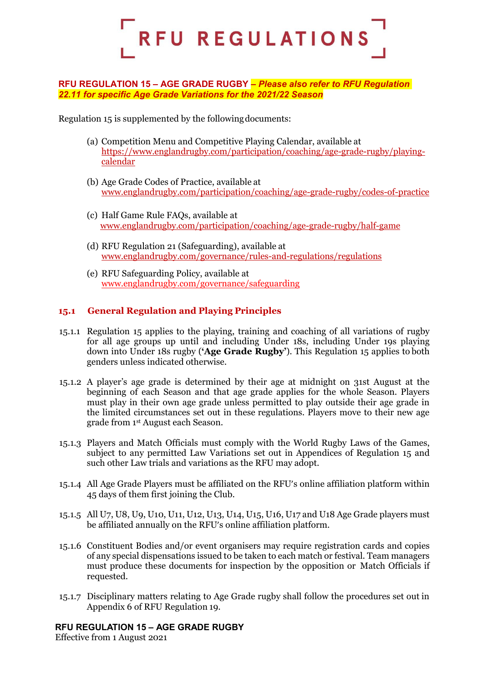

#### **RFU REGULATION 15 – AGE GRADE RUGBY –** *Please also refer to RFU Regulation 22.11 for specific Age Grade Variations for the 2021/22 Season*

Regulation 15 is supplemented by the followingdocuments:

- (a) Competition Menu and Competitive Playing Calendar, available at https://www.englandrugby.com/participation/coaching/age-grade-rugby/playingcalendar
- (b) Age Grade Codes of Practice, available at www.englandrugby.com/participation/coaching/age-grade-rugby/codes-of-practice
- (c) Half Game Rule FAQs, available at [www.englandrugby.com/participation/coaching/age-grade-rugby/half-game](http://www.englandrugby.com/participation/coaching/age-grade-rugby/half-game)
- (d) RFU Regulation 21 (Safeguarding), available at www.englandrugby.com/governance/rules-and-regulations/regulations
- (e) RFU Safeguarding Policy, available at [www.englandrugby.com/governance/safeguarding](http://www.englandrugby.com/governance/safeguarding)

## **15.1 General Regulation and Playing Principles**

- 15.1.1 Regulation 15 applies to the playing, training and coaching of all variations of rugby for all age groups up until and including Under 18s, including Under 19s playing down into Under 18s rugby (**'Age Grade Rugby'**). This Regulation 15 applies to both genders unless indicated otherwise.
- 15.1.2 A player's age grade is determined by their age at midnight on 31st August at the beginning of each Season and that age grade applies for the whole Season. Players must play in their own age grade unless permitted to play outside their age grade in the limited circumstances set out in these regulations. Players move to their new age grade from 1st August each Season.
- 15.1.3 Players and Match Officials must comply with the World Rugby Laws of the Games, subject to any permitted Law Variations set out in Appendices of Regulation 15 and such other Law trials and variations as the RFU may adopt.
- 15.1.4 All Age Grade Players must be affiliated on the RFU's online affiliation platform within 45 days of them first joining the Club.
- 15.1.5 All U7, U8, U9, U10, U11, U12, U13, U14, U15, U16, U17 and U18 Age Grade players must be affiliated annually on the RFU's online affiliation platform.
- 15.1.6 Constituent Bodies and/or event organisers may require registration cards and copies of any special dispensations issued to be taken to each match or festival. Team managers must produce these documents for inspection by the opposition or Match Officials if requested.
- 15.1.7 Disciplinary matters relating to Age Grade rugby shall follow the procedures set out in Appendix 6 of RFU Regulation 19.

#### **RFU REGULATION 15 – AGE GRADE RUGBY**

Effective from 1 August 2021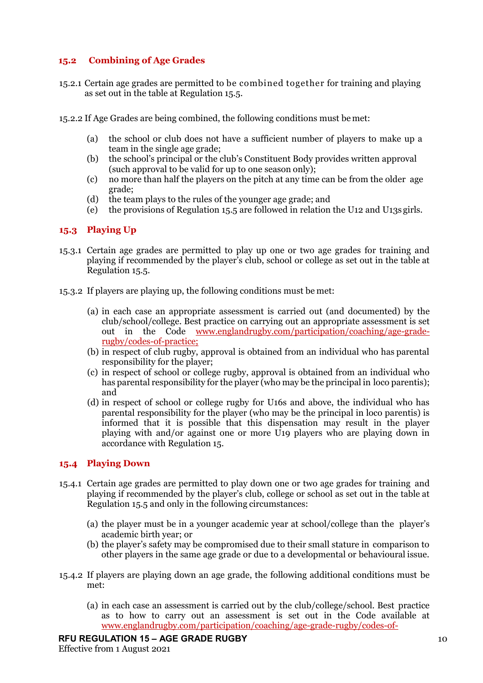## **15.2 Combining of Age Grades**

- 15.2.1 Certain age grades are permitted to be combined together for training and playing as set out in the table at Regulation 15.5.
- 15.2.2 If Age Grades are being combined, the following conditions must be met:
	- (a) the school or club does not have a sufficient number of players to make up a team in the single age grade;
	- (b) the school's principal or the club's Constituent Body provides written approval (such approval to be valid for up to one season only);
	- (c) no more than half the players on the pitch at any time can be from the older age grade;
	- (d) the team plays to the rules of the younger age grade; and
	- (e) the provisions of Regulation 15.5 are followed in relation the U12 and U13s girls.

#### **15.3 Playing Up**

- 15.3.1 Certain age grades are permitted to play up one or two age grades for training and playing if recommended by the player's club, school or college as set out in the table at Regulation 15.5.
- 15.3.2 If players are playing up, the following conditions must be met:
	- (a) in each case an appropriate assessment is carried out (and documented) by the club/school/college. Best practice on carrying out an appropriate assessment is set out in the Code [www.englandrugby.com/participation/coaching/age-grade](http://www.englandrugby.com/participation/coaching/age-grade-rugby/codes-of-practice;)[rugby/codes-of-practice;](http://www.englandrugby.com/participation/coaching/age-grade-rugby/codes-of-practice;)
	- (b) in respect of club rugby, approval is obtained from an individual who has parental responsibility for the player;
	- (c) in respect of school or college rugby, approval is obtained from an individual who has parental responsibility for the player (who may be the principal in loco parentis); and
	- (d) in respect of school or college rugby for U16s and above, the individual who has parental responsibility for the player (who may be the principal in loco parentis) is informed that it is possible that this dispensation may result in the player playing with and/or against one or more U19 players who are playing down in accordance with Regulation 15.

#### **15.4 Playing Down**

- 15.4.1 Certain age grades are permitted to play down one or two age grades for training and playing if recommended by the player's club, college or school as set out in the table at Regulation 15.5 and only in the following circumstances:
	- (a) the player must be in a younger academic year at school/college than the player's academic birth year; or
	- (b) the player's safety may be compromised due to their small stature in comparison to other players in the same age grade or due to a developmental or behavioural issue.
- 15.4.2 If players are playing down an age grade, the following additional conditions must be met:
	- (a) in each case an assessment is carried out by the club/college/school. Best practice as to how to carry out an assessment is set out in the Code available at [www.englandrugby.com/participation/coaching/age-grade-rugby/codes-of-](http://www.englandrugby.com/participation/coaching/age-grade-rugby/codes-of-practice;)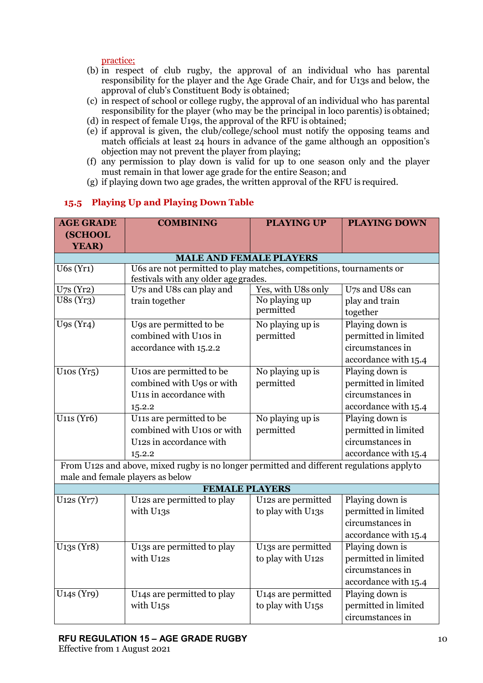[practice;](http://www.englandrugby.com/participation/coaching/age-grade-rugby/codes-of-practice;)

- (b) in respect of club rugby, the approval of an individual who has parental responsibility for the player and the Age Grade Chair, and for U13s and below, the approval of club's Constituent Body is obtained;
- (c) in respect of school or college rugby, the approval of an individual who has parental responsibility for the player (who may be the principal in loco parentis) is obtained;
- (d) in respect of female U19s, the approval of the RFU is obtained;
- (e) if approval is given, the club/college/school must notify the opposing teams and match officials at least 24 hours in advance of the game although an opposition's objection may not prevent the player from playing;
- (f) any permission to play down is valid for up to one season only and the player must remain in that lower age grade for the entire Season; and
- (g) if playing down two age grades, the written approval of the RFU is required.

# **15.5 Playing Up and Playing Down Table**

| <b>AGE GRADE</b>                     | <b>COMBINING</b>                                                                          | <b>PLAYING UP</b>              | <b>PLAYING DOWN</b>  |
|--------------------------------------|-------------------------------------------------------------------------------------------|--------------------------------|----------------------|
| (SCHOOL                              |                                                                                           |                                |                      |
| YEAR)                                |                                                                                           |                                |                      |
|                                      | <b>MALE AND FEMALE PLAYERS</b>                                                            |                                |                      |
| $U6s$ (Yr1)                          | U6s are not permitted to play matches, competitions, tournaments or                       |                                |                      |
|                                      | festivals with any older age grades.                                                      |                                |                      |
| U <sub>7</sub> s(Yr2)                | U7s and U8s can play and                                                                  | Yes, with U8s only             | U7s and U8s can      |
| U8s(Yr3)                             | train together                                                                            | No playing up                  | play and train       |
|                                      |                                                                                           | permitted                      | together             |
| $U$ 9s $(Yr4)$                       | U9s are permitted to be                                                                   | No playing up is               | Playing down is      |
|                                      | combined with U10s in                                                                     | permitted                      | permitted in limited |
|                                      | accordance with 15.2.2                                                                    |                                | circumstances in     |
|                                      |                                                                                           |                                | accordance with 15.4 |
| $U$ 10s (Yr <sub>5</sub> )           | U10s are permitted to be                                                                  | No playing up is               | Playing down is      |
|                                      | combined with U9s or with                                                                 | permitted                      | permitted in limited |
|                                      | U11s in accordance with                                                                   |                                | circumstances in     |
|                                      | 15.2.2                                                                                    |                                | accordance with 15.4 |
| $U11s$ (Yró)                         | U11s are permitted to be                                                                  | No playing up is               | Playing down is      |
|                                      | combined with U10s or with                                                                | permitted                      | permitted in limited |
|                                      | U <sub>12</sub> s in accordance with                                                      |                                | circumstances in     |
|                                      | 15.2.2                                                                                    |                                | accordance with 15.4 |
|                                      | From U12s and above, mixed rugby is no longer permitted and different regulations applyto |                                |                      |
|                                      | male and female players as below                                                          |                                |                      |
|                                      | <b>FEMALE PLAYERS</b>                                                                     |                                |                      |
| U <sub>12</sub> s (Yr7)              | U12s are permitted to play                                                                | U12s are permitted             | Playing down is      |
|                                      | with U13s                                                                                 | to play with U13s              | permitted in limited |
|                                      |                                                                                           |                                | circumstances in     |
|                                      |                                                                                           |                                | accordance with 15.4 |
| U <sub>13</sub> s (Yr <sub>8</sub> ) | U13s are permitted to play                                                                | U13s are permitted             | Playing down is      |
|                                      | with U12s                                                                                 | to play with U12s              | permitted in limited |
|                                      |                                                                                           |                                | circumstances in     |
|                                      |                                                                                           |                                | accordance with 15.4 |
| U <sub>14</sub> s (Yr9)              | U14s are permitted to play                                                                | U14s are permitted             | Playing down is      |
|                                      | with U <sub>15</sub> s                                                                    | to play with U <sub>15</sub> s | permitted in limited |
|                                      |                                                                                           |                                | circumstances in     |
|                                      |                                                                                           |                                |                      |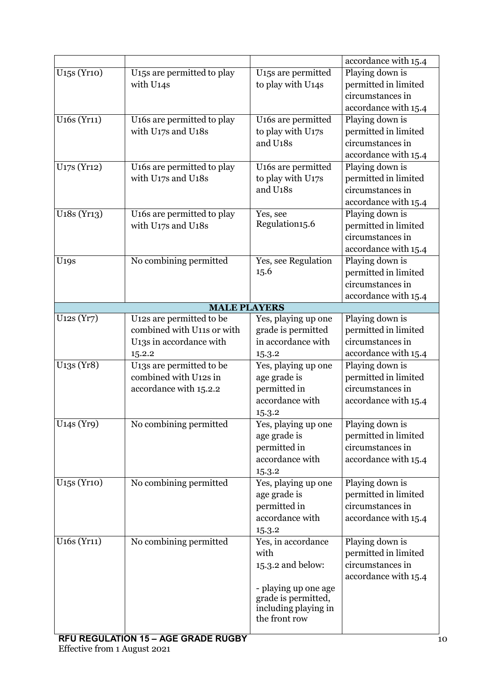|                                       |                                         |                                             | accordance with 15.4 |
|---------------------------------------|-----------------------------------------|---------------------------------------------|----------------------|
| U <sub>15</sub> s (Yr <sub>10</sub> ) | U <sub>15</sub> s are permitted to play | U <sub>15</sub> s are permitted             | Playing down is      |
|                                       | with U14s                               | to play with U14s                           | permitted in limited |
|                                       |                                         |                                             | circumstances in     |
|                                       |                                         |                                             | accordance with 15.4 |
| U <sub>16s</sub> (Yr <sub>11</sub> )  | U16s are permitted to play              | U16s are permitted                          | Playing down is      |
|                                       | with U17s and U18s                      | to play with U17s                           | permitted in limited |
|                                       |                                         | and U <sub>18s</sub>                        | circumstances in     |
|                                       |                                         |                                             | accordance with 15.4 |
| U <sub>17</sub> s (Yr <sub>12</sub> ) | U <sub>16</sub> s are permitted to play | U16s are permitted                          | Playing down is      |
|                                       | with U17s and U18s                      | to play with U17s                           | permitted in limited |
|                                       |                                         | and U18s                                    | circumstances in     |
|                                       |                                         |                                             | accordance with 15.4 |
| U <sub>18</sub> s (Yr <sub>13</sub> ) | U <sub>16s</sub> are permitted to play  | Yes, see                                    | Playing down is      |
|                                       | with U17s and U18s                      | Regulation15.6                              | permitted in limited |
|                                       |                                         |                                             | circumstances in     |
|                                       |                                         |                                             | accordance with 15.4 |
| <b>U19S</b>                           | No combining permitted                  | Yes, see Regulation                         | Playing down is      |
|                                       |                                         | 15.6                                        | permitted in limited |
|                                       |                                         |                                             | circumstances in     |
|                                       |                                         |                                             | accordance with 15.4 |
|                                       | <b>MALE PLAYERS</b>                     |                                             |                      |
| U <sub>12</sub> s (Yr7)               | U12s are permitted to be                | Yes, playing up one                         | Playing down is      |
|                                       | combined with U11s or with              | grade is permitted                          | permitted in limited |
|                                       | U13s in accordance with                 | in accordance with                          | circumstances in     |
|                                       | 15.2.2                                  | 15.3.2                                      | accordance with 15.4 |
| U <sub>13</sub> s (Yr <sub>8</sub> )  | U <sub>13</sub> s are permitted to be   | Yes, playing up one                         | Playing down is      |
|                                       | combined with U12s in                   | age grade is                                | permitted in limited |
|                                       | accordance with 15.2.2                  | permitted in                                | circumstances in     |
|                                       |                                         | accordance with                             | accordance with 15.4 |
|                                       |                                         | 15.3.2                                      |                      |
| U <sub>14S</sub> (Yr9)                | No combining permitted                  | Yes, playing up one                         | Playing down is      |
|                                       |                                         | age grade is                                | permitted in limited |
|                                       |                                         | permitted in                                | circumstances in     |
|                                       |                                         | accordance with                             | accordance with 15.4 |
|                                       |                                         | 15.3.2                                      |                      |
| U <sub>15</sub> s (Yr <sub>10</sub> ) | No combining permitted                  | Yes, playing up one                         | Playing down is      |
|                                       |                                         | age grade is                                | permitted in limited |
|                                       |                                         | permitted in                                | circumstances in     |
|                                       |                                         | accordance with                             | accordance with 15.4 |
|                                       |                                         |                                             |                      |
| U <sub>16s</sub> (Yr <sub>11</sub> )  | No combining permitted                  | 15.3.2<br>Yes, in accordance                | Playing down is      |
|                                       |                                         | with                                        | permitted in limited |
|                                       |                                         |                                             | circumstances in     |
|                                       |                                         | 15.3.2 and below:                           |                      |
|                                       |                                         |                                             | accordance with 15.4 |
|                                       |                                         | - playing up one age<br>grade is permitted, |                      |
|                                       |                                         | including playing in                        |                      |
|                                       |                                         | the front row                               |                      |
|                                       |                                         |                                             |                      |
| DELL DECIH ATION 45                   | ACE COADE DUCDV                         |                                             |                      |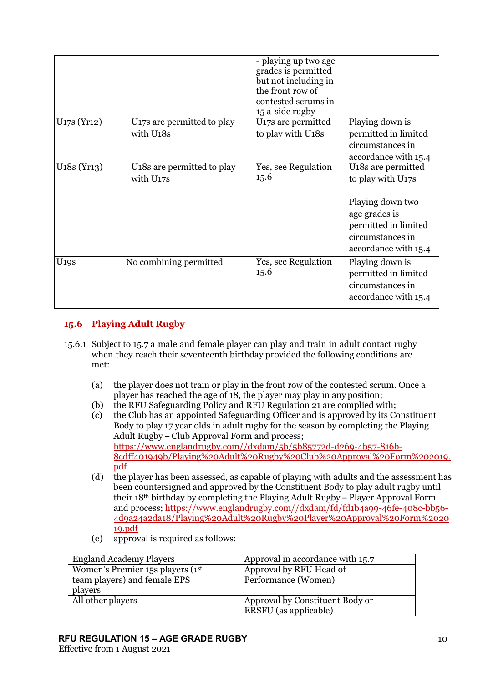|                                       |                                                                  | - playing up two age<br>grades is permitted<br>but not including in<br>the front row of<br>contested scrums in<br>15 a-side rugby |                                                                                                                                                                           |
|---------------------------------------|------------------------------------------------------------------|-----------------------------------------------------------------------------------------------------------------------------------|---------------------------------------------------------------------------------------------------------------------------------------------------------------------------|
| U <sub>17</sub> s (Yr <sub>12</sub> ) | U <sub>17</sub> s are permitted to play<br>with U18s             | U <sub>17</sub> s are permitted<br>to play with U18s                                                                              | Playing down is<br>permitted in limited<br>circumstances in<br>accordance with 15.4                                                                                       |
| $U18s$ (Yr13)                         | U <sub>18</sub> s are permitted to play<br>with U <sub>17S</sub> | Yes, see Regulation<br>15.6                                                                                                       | U <sub>18</sub> s are permitted<br>to play with U <sub>17s</sub><br>Playing down two<br>age grades is<br>permitted in limited<br>circumstances in<br>accordance with 15.4 |
| U <sub>19S</sub>                      | No combining permitted                                           | Yes, see Regulation<br>15.6                                                                                                       | Playing down is<br>permitted in limited<br>circumstances in<br>accordance with 15.4                                                                                       |

# **15.6 Playing Adult Rugby**

- 15.6.1 Subject to 15.7 a male and female player can play and train in adult contact rugby when they reach their seventeenth birthday provided the following conditions are met:
	- (a) the player does not train or play in the front row of the contested scrum. Once a player has reached the age of 18, the player may play in any position;
	- (b) the RFU Safeguarding Policy and RFU Regulation 21 are complied with;
	- (c) the Club has an appointed Safeguarding Officer and is approved by its Constituent Body to play 17 year olds in adult rugby for the season by completing the Playing Adult Rugby – Club Approval Form and process; [https://www.englandrugby.com//dxdam/5b/5b85772d-d269-4b57-816b-](https://www.englandrugby.com/dxdam/5b/5b85772d-d269-4b57-816b-8cdff401949b/Playing%20Adult%20Rugby%20Club%20Approval%20Form%202019.pdf)[8cdff401949b/Playing%20Adult%20Rugby%20Club%20Approval%20Form%202019.](https://www.englandrugby.com/dxdam/5b/5b85772d-d269-4b57-816b-8cdff401949b/Playing%20Adult%20Rugby%20Club%20Approval%20Form%202019.pdf) [pdf](https://www.englandrugby.com/dxdam/5b/5b85772d-d269-4b57-816b-8cdff401949b/Playing%20Adult%20Rugby%20Club%20Approval%20Form%202019.pdf)
	- (d) the player has been assessed, as capable of playing with adults and the assessment has been countersigned and approved by the Constituent Body to play adult rugby until their 18th birthday by completing the Playing Adult Rugby – Player Approval Form and process; https://www.englandrugby.com//dxdam/fd/fd1b4a99-46fe-408c-bb56- 4d9a24a2da18/Playing%20Adult%20Rugby%20Player%20Approval%20Form%2020 19.pdf
	- (e) approval is required as follows:

| <b>England Academy Players</b>     | Approval in accordance with 15.7 |
|------------------------------------|----------------------------------|
| Women's Premier 15s players $(1st$ | Approval by RFU Head of          |
| team players) and female EPS       | Performance (Women)              |
| players                            |                                  |
| All other players                  | Approval by Constituent Body or  |
|                                    | ERSFU (as applicable)            |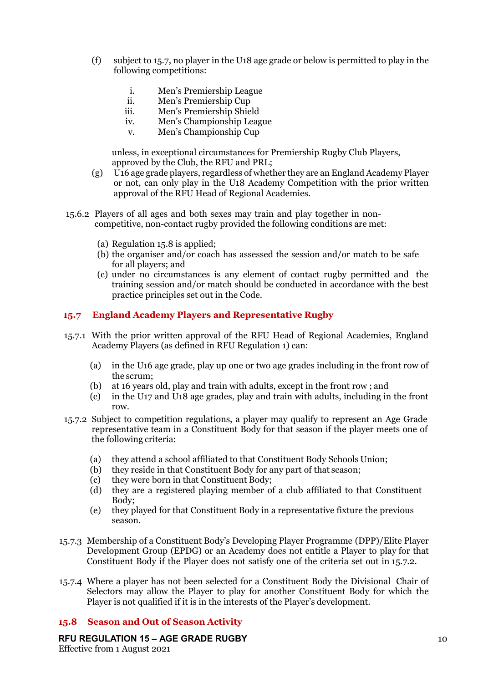- (f) subject to 15.7, no player in the U18 age grade or below is permitted to play in the following competitions:
	- i. Men's Premiership League
	- ii. Men's Premiership Cup
	- iii. Men's Premiership Shield<br>iv. Men's Championship Leag
	- Men's Championship League
	- v. Men's Championship Cup

unless, in exceptional circumstances for Premiership Rugby Club Players, approved by the Club, the RFU and PRL;

- (g) U16 age grade players, regardless of whether they are an England Academy Player or not, can only play in the U18 Academy Competition with the prior written approval of the RFU Head of Regional Academies.
- 15.6.2 Players of all ages and both sexes may train and play together in noncompetitive, non-contact rugby provided the following conditions are met:
	- (a) Regulation 15.8 is applied;
	- (b) the organiser and/or coach has assessed the session and/or match to be safe for all players; and
	- (c) under no circumstances is any element of contact rugby permitted and the training session and/or match should be conducted in accordance with the best practice principles set out in the Code.

## **15.7 England Academy Players and Representative Rugby**

- 15.7.1 With the prior written approval of the RFU Head of Regional Academies, England Academy Players (as defined in RFU Regulation 1) can:
	- (a) in the U16 age grade, play up one or two age grades including in the front row of the scrum;
	- (b) at 16 years old, play and train with adults, except in the front row ; and
	- (c) in the U17 and U18 age grades, play and train with adults, including in the front row.
- 15.7.2 Subject to competition regulations, a player may qualify to represent an Age Grade representative team in a Constituent Body for that season if the player meets one of the following criteria:
	- (a) they attend a school affiliated to that Constituent Body Schools Union;
	- (b) they reside in that Constituent Body for any part of that season;
	- (c) they were born in that Constituent Body;
	- (d) they are a registered playing member of a club affiliated to that Constituent Body;
	- (e) they played for that Constituent Body in a representative fixture the previous season.
- 15.7.3 Membership of a Constituent Body's Developing Player Programme (DPP)/Elite Player Development Group (EPDG) or an Academy does not entitle a Player to play for that Constituent Body if the Player does not satisfy one of the criteria set out in 15.7.2.
- 15.7.4 Where a player has not been selected for a Constituent Body the Divisional Chair of Selectors may allow the Player to play for another Constituent Body for which the Player is not qualified if it is in the interests of the Player's development.

## **15.8 Season and Out of Season Activity**

## **RFU REGULATION 15 – AGE GRADE RUGBY**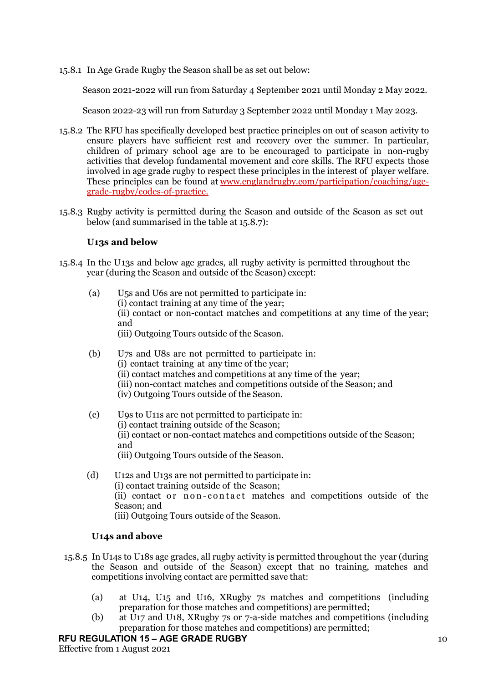15.8.1 In Age Grade Rugby the Season shall be as set out below:

Season 2021-2022 will run from Saturday 4 September 2021 until Monday 2 May 2022.

Season 2022-23 will run from Saturday 3 September 2022 until Monday 1 May 2023.

- 15.8.2 The RFU has specifically developed best practice principles on out of season activity to ensure players have sufficient rest and recovery over the summer. In particular, children of primary school age are to be encouraged to participate in non-rugby activities that develop fundamental movement and core skills. The RFU expects those involved in age grade rugby to respect these principles in the interest of player welfare. These principles can be found at [www.englandrugby.com/participation/coaching/age](http://www.englandrugby.com/participation/coaching/age-grade-rugby/codes-of-practice;)[grade-rugby/codes-of-practice.](http://www.englandrugby.com/participation/coaching/age-grade-rugby/codes-of-practice;)
- 15.8.3 Rugby activity is permitted during the Season and outside of the Season as set out below (and summarised in the table at 15.8.7):

#### **U13s and below**

- 15.8.4 In the U13s and below age grades, all rugby activity is permitted throughout the year (during the Season and outside of the Season) except:
	- (a) U5s and U6s are not permitted to participate in: (i) contact training at any time of the year; (ii) contact or non-contact matches and competitions at any time of the year; and (iii) Outgoing Tours outside of the Season.
	- (b) U7s and U8s are not permitted to participate in: (i) contact training at any time of the year; (ii) contact matches and competitions at any time of the year; (iii) non-contact matches and competitions outside of the Season; and (iv) Outgoing Tours outside of the Season.
	- (c) U9s to U11s are not permitted to participate in: (i) contact training outside of the Season; (ii) contact or non-contact matches and competitions outside of the Season; and (iii) Outgoing Tours outside of the Season.
	- (d) U12s and U13s are not permitted to participate in: (i) contact training outside of the Season; (ii) contact or non - contact matches and competitions outside of the Season; and (iii) Outgoing Tours outside of the Season.

## **U14s and above**

- 15.8.5 In U14s to U18s age grades, all rugby activity is permitted throughout the year (during the Season and outside of the Season) except that no training, matches and competitions involving contact are permitted save that:
	- (a) at U14, U15 and U16, XRugby 7s matches and competitions (including preparation for those matches and competitions) are permitted;
	- (b) at U17 and U18, XRugby 7s or 7-a-side matches and competitions (including preparation for those matches and competitions) are permitted;

#### **RFU REGULATION 15 – AGE GRADE RUGBY**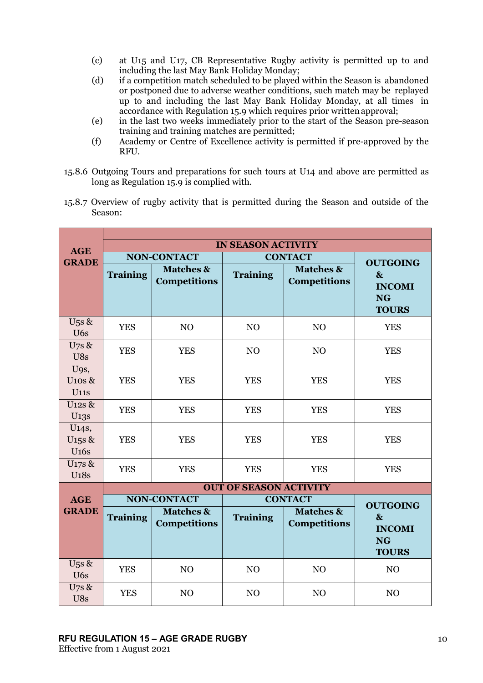- (c) at U15 and U17, CB Representative Rugby activity is permitted up to and including the last May Bank Holiday Monday;
- (d) if a competition match scheduled to be played within the Season is abandoned or postponed due to adverse weather conditions, such match may be replayed up to and including the last May Bank Holiday Monday, at all times in accordance with Regulation 15.9 which requires prior writtenapproval;
- (e) in the last two weeks immediately prior to the start of the Season pre-season training and training matches are permitted;
- (f) Academy or Centre of Excellence activity is permitted if pre-approved by the RFU.
- 15.8.6 Outgoing Tours and preparations for such tours at U14 and above are permitted as long as Regulation 15.9 is complied with.
- 15.8.7 Overview of rugby activity that is permitted during the Season and outside of the Season:

| <b>AGE</b>                                               | <b>IN SEASON ACTIVITY</b>            |                                             |                 |                                             |                                                             |
|----------------------------------------------------------|--------------------------------------|---------------------------------------------|-----------------|---------------------------------------------|-------------------------------------------------------------|
| <b>GRADE</b>                                             |                                      | <b>NON-CONTACT</b>                          | <b>CONTACT</b>  |                                             | <b>OUTGOING</b>                                             |
|                                                          | <b>Training</b>                      | <b>Matches &amp;</b><br><b>Competitions</b> | <b>Training</b> | <b>Matches &amp;</b><br><b>Competitions</b> | $\mathbf{\&}$<br><b>INCOMI</b><br><b>NG</b><br><b>TOURS</b> |
| $U$ <sub>5</sub> s &<br>U <sub>6s</sub>                  | <b>YES</b>                           | N <sub>O</sub>                              | N <sub>O</sub>  | N <sub>O</sub>                              | <b>YES</b>                                                  |
| $U$ 7s $\&$<br>U8s                                       | <b>YES</b>                           | <b>YES</b>                                  | N <sub>O</sub>  | NO                                          | <b>YES</b>                                                  |
| U9s,<br>$U$ 10s &<br><b>U11s</b>                         | <b>YES</b>                           | <b>YES</b>                                  | <b>YES</b>      | <b>YES</b>                                  | <b>YES</b>                                                  |
| U <sub>12S</sub> &<br>U <sub>13</sub> s                  | <b>YES</b>                           | <b>YES</b>                                  | <b>YES</b>      | <b>YES</b>                                  | <b>YES</b>                                                  |
| U <sub>14</sub> s,<br>U <sub>15</sub> s &<br><b>U16s</b> | <b>YES</b>                           | <b>YES</b>                                  | <b>YES</b>      | <b>YES</b>                                  | <b>YES</b>                                                  |
| U17s &<br><b>U18s</b>                                    | <b>YES</b>                           | <b>YES</b>                                  | <b>YES</b>      | <b>YES</b>                                  | <b>YES</b>                                                  |
|                                                          | <b>OUT OF SEASON ACTIVITY</b>        |                                             |                 |                                             |                                                             |
| <b>AGE</b>                                               | <b>NON-CONTACT</b><br><b>CONTACT</b> |                                             |                 | <b>OUTGOING</b>                             |                                                             |
| <b>GRADE</b>                                             | <b>Training</b>                      | <b>Matches &amp;</b><br><b>Competitions</b> | <b>Training</b> | <b>Matches &amp;</b><br><b>Competitions</b> | $\mathbf{\&}$<br><b>INCOMI</b><br><b>NG</b><br><b>TOURS</b> |
| $U$ <sub>5</sub> s &<br>U <sub>6s</sub>                  | <b>YES</b>                           | N <sub>O</sub>                              | NO              | NO                                          | NO                                                          |
| $U$ 7s $\&$<br>U8s                                       | <b>YES</b>                           | N <sub>O</sub>                              | NO              | NO                                          | N <sub>O</sub>                                              |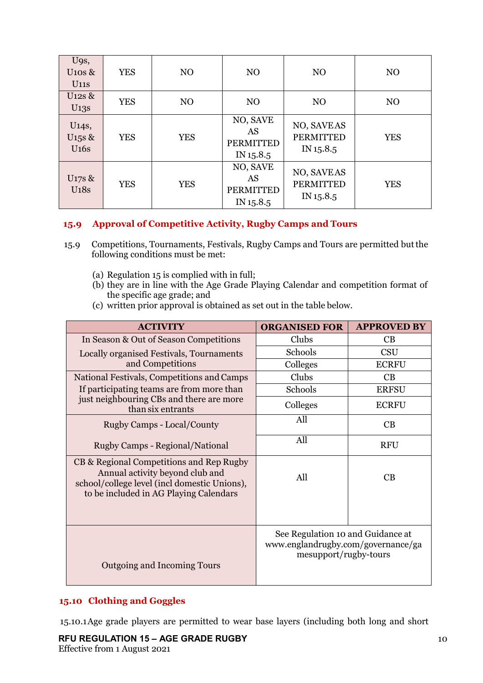| U9s,<br>$U$ 10s &<br><b>U11s</b>                  | <b>YES</b> | N <sub>O</sub> | N <sub>O</sub>                                  | N <sub>O</sub>                              | N <sub>O</sub> |
|---------------------------------------------------|------------|----------------|-------------------------------------------------|---------------------------------------------|----------------|
| $U12s$ &<br>U <sub>13s</sub>                      | <b>YES</b> | N <sub>O</sub> | N <sub>O</sub>                                  | N <sub>O</sub>                              | N <sub>O</sub> |
| U <sub>14</sub> s,<br>U <sub>15</sub> s &<br>U16s | <b>YES</b> | <b>YES</b>     | NO, SAVE<br>AS<br><b>PERMITTED</b><br>IN 15.8.5 | NO, SAVEAS<br><b>PERMITTED</b><br>IN 15.8.5 | <b>YES</b>     |
| U <sub>17</sub> s &<br><b>U18s</b>                | <b>YES</b> | <b>YES</b>     | NO, SAVE<br>AS<br><b>PERMITTED</b><br>IN 15.8.5 | NO, SAVEAS<br><b>PERMITTED</b><br>IN 15.8.5 | <b>YES</b>     |

# **15.9 Approval of Competitive Activity, Rugby Camps and Tours**

- 15.9 Competitions, Tournaments, Festivals, Rugby Camps and Tours are permitted butthe following conditions must be met:
	- (a) Regulation 15 is complied with in full;
	- (b) they are in line with the Age Grade Playing Calendar and competition format of the specific age grade; and
	- (c) written prior approval is obtained as set out in the table below.

| <b>ACTIVITY</b>                                                                                                                                                       | <b>ORGANISED FOR</b>                                                                             | <b>APPROVED BY</b> |
|-----------------------------------------------------------------------------------------------------------------------------------------------------------------------|--------------------------------------------------------------------------------------------------|--------------------|
| In Season & Out of Season Competitions                                                                                                                                | Clubs                                                                                            | CB                 |
| Locally organised Festivals, Tournaments                                                                                                                              | Schools                                                                                          | CSU                |
| and Competitions                                                                                                                                                      | Colleges                                                                                         | <b>ECRFU</b>       |
| National Festivals, Competitions and Camps                                                                                                                            | Clubs                                                                                            | CB                 |
| If participating teams are from more than                                                                                                                             | Schools                                                                                          | <b>ERFSU</b>       |
| just neighbouring CBs and there are more<br>than six entrants                                                                                                         | Colleges                                                                                         | <b>ECRFU</b>       |
| Rugby Camps - Local/County                                                                                                                                            | All                                                                                              | CB                 |
| Rugby Camps - Regional/National                                                                                                                                       | All                                                                                              | <b>RFU</b>         |
| CB & Regional Competitions and Rep Rugby<br>Annual activity beyond club and<br>school/college level (incl domestic Unions),<br>to be included in AG Playing Calendars | All                                                                                              | CB                 |
| Outgoing and Incoming Tours                                                                                                                                           | See Regulation 10 and Guidance at<br>www.englandrugby.com/governance/ga<br>mesupport/rugby-tours |                    |

# **15.10 Clothing and Goggles**

15.10.1Age grade players are permitted to wear base layers (including both long and short

**RFU REGULATION 15 – AGE GRADE RUGBY** Effective from 1 August 2021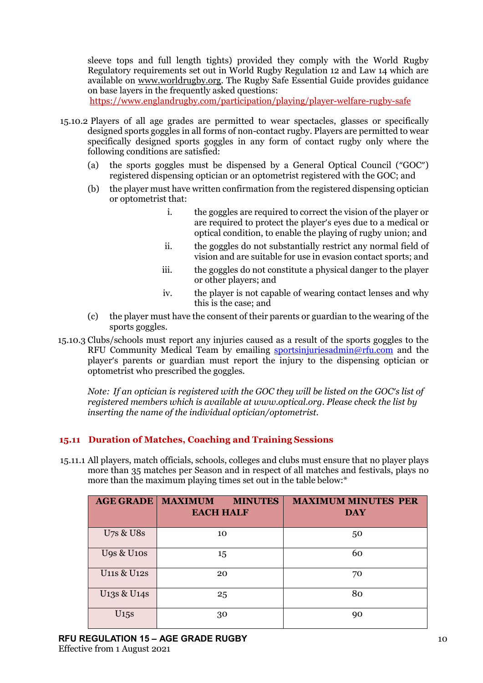sleeve tops and full length tights) provided they comply with the World Rugby Regulatory requirements set out in World Rugby Regulation 12 and Law 14 which are available on [www.worldrugby.org.](http://www.worldrugby.org/) The Rugby Safe Essential Guide provides guidance on base layers in the frequently asked questions:

<https://www.englandrugby.com/participation/playing/player-welfare-rugby-safe>

- 15.10.2 Players of all age grades are permitted to wear spectacles, glasses or specifically designed sports goggles in all forms of non-contact rugby. Players are permitted to wear specifically designed sports goggles in any form of contact rugby only where the following conditions are satisfied:
	- (a) the sports goggles must be dispensed by a General Optical Council ("GOC") registered dispensing optician or an optometrist registered with the GOC; and
	- (b) the player must have written confirmation from the registered dispensing optician or optometrist that:
		- i. the goggles are required to correct the vision of the player or are required to protect the player's eyes due to a medical or optical condition, to enable the playing of rugby union; and
		- ii. the goggles do not substantially restrict any normal field of vision and are suitable for use in evasion contact sports; and
		- iii. the goggles do not constitute a physical danger to the player or other players; and
		- iv. the player is not capable of wearing contact lenses and why this is the case; and
	- (c) the player must have the consent of their parents or guardian to the wearing of the sports goggles.
- 15.10.3 Clubs/schools must report any injuries caused as a result of the sports goggles to the RFU Community Medical Team by emailing [sportsinjuriesadmin@rfu.com](mailto:sportsinjuriesadmin@rfu.com) and the player's parents or guardian must report the injury to the dispensing optician or optometrist who prescribed the goggles.

*Note: If an optician is registered with the GOC they will be listed on the GOC's list of registered members which is available at www.optical.org. Please check the list by inserting the name of the individual optician/optometrist.*

# **15.11 Duration of Matches, Coaching and Training Sessions**

15.11.1 All players, match officials, schools, colleges and clubs must ensure that no player plays more than 35 matches per Season and in respect of all matches and festivals, plays no more than the maximum playing times set out in the table below:\*

| <b>AGE GRADE</b>                     | <b>MAXIMUM</b><br><b>MINUTES</b><br><b>EACH HALF</b> | <b>MAXIMUM MINUTES PER</b><br><b>DAY</b> |
|--------------------------------------|------------------------------------------------------|------------------------------------------|
| <b>U7s &amp; U8s</b>                 | 10                                                   | 50                                       |
| <b>U9s &amp; U10s</b>                | 15                                                   | 60                                       |
| <b>U11s &amp; U12s</b>               | 20                                                   | 70                                       |
| U <sub>13</sub> s & U <sub>148</sub> | 25                                                   | 80                                       |
| U15s                                 | 30                                                   | 90                                       |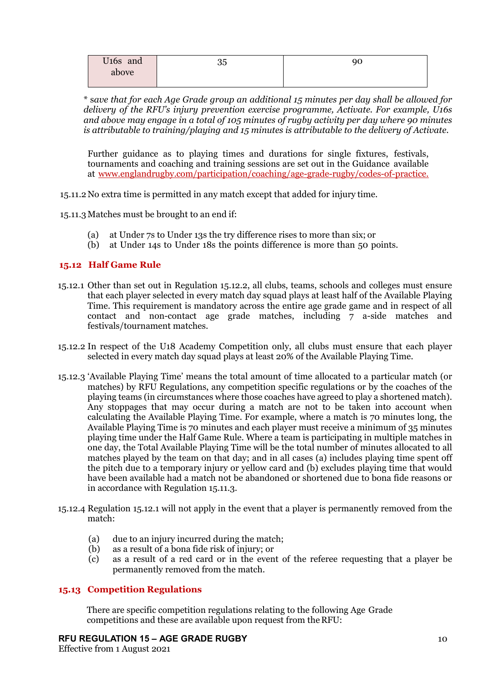| U <sub>16s</sub> and | <u>_</u><br>ບບ | 90 |
|----------------------|----------------|----|
| above                |                |    |
|                      |                |    |

\* s*ave that for each Age Grade group an additional 15 minutes per day shall be allowed for delivery of the RFU's injury prevention exercise programme, Activate. For example, U16s and above may engage in a total of 105 minutes of rugby activity per day where 90 minutes is attributable to training/playing and 15 minutes is attributable to the delivery of Activate.*

Further guidance as to playing times and durations for single fixtures, festivals, tournaments and coaching and training sessions are set out in the Guidance available at [www.englandrugby.com/participation/coaching/age-grade-rugby/codes-of-practice.](http://www.englandrugby.com/participation/coaching/age-grade-rugby/codes-of-practice;)

15.11.2No extra time is permitted in any match except that added for injury time.

15.11.3 Matches must be brought to an end if:

- (a) at Under 7s to Under 13s the try difference rises to more than six; or
- (b) at Under 14s to Under 18s the points difference is more than 50 points.

## **15.12 Half Game Rule**

- 15.12.1 Other than set out in Regulation 15.12.2, all clubs, teams, schools and colleges must ensure that each player selected in every match day squad plays at least half of the Available Playing Time. This requirement is mandatory across the entire age grade game and in respect of all contact and non-contact age grade matches, including 7 a-side matches and festivals/tournament matches.
- 15.12.2 In respect of the U18 Academy Competition only, all clubs must ensure that each player selected in every match day squad plays at least 20% of the Available Playing Time.
- 15.12.3 'Available Playing Time' means the total amount of time allocated to a particular match (or matches) by RFU Regulations, any competition specific regulations or by the coaches of the playing teams (in circumstances where those coaches have agreed to play a shortened match). Any stoppages that may occur during a match are not to be taken into account when calculating the Available Playing Time. For example, where a match is 70 minutes long, the Available Playing Time is 70 minutes and each player must receive a minimum of 35 minutes playing time under the Half Game Rule. Where a team is participating in multiple matches in one day, the Total Available Playing Time will be the total number of minutes allocated to all matches played by the team on that day; and in all cases (a) includes playing time spent off the pitch due to a temporary injury or yellow card and (b) excludes playing time that would have been available had a match not be abandoned or shortened due to bona fide reasons or in accordance with Regulation 15.11.3.
- 15.12.4 Regulation 15.12.1 will not apply in the event that a player is permanently removed from the match:
	- (a) due to an injury incurred during the match;
	- (b) as a result of a bona fide risk of injury; or
	- (c) as a result of a red card or in the event of the referee requesting that a player be permanently removed from the match.

## **15.13 Competition Regulations**

There are specific competition regulations relating to the following Age Grade competitions and these are available upon request from the RFU:

#### **RFU REGULATION 15 – AGE GRADE RUGBY**

Effective from 1 August 2021